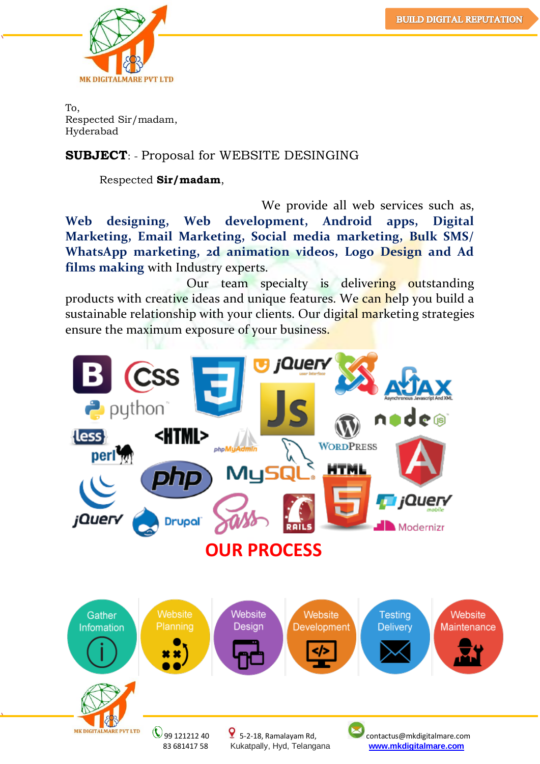

To, Respected Sir/madam, Hyderabad

#### **SUBJECT:** - Proposal for WEBSITE DESINGING

Respected **Sir/madam**,

 We provide all web services such as, **Web designing, Web development, Android apps, Digital Marketing, Email Marketing, Social media marketing, Bulk SMS/ WhatsApp marketing, 2d animation videos, Logo Design and Ad films making** with Industry experts.

Our team specialty is delivering outstanding products with creative ideas and unique features. We can help you build a sustainable relationship with your clients. Our digital marketing strategies ensure the maximum exposure of your business.

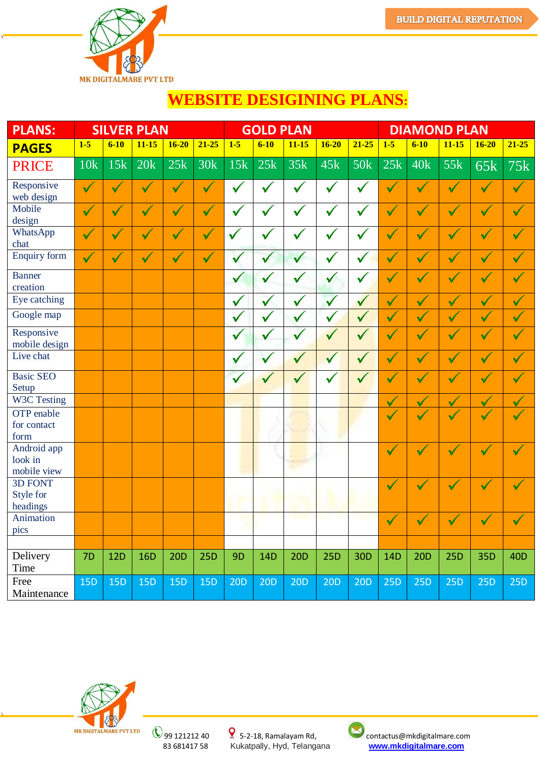

# **WEBSITE DESIGINING PLANS:**

| <b>PLANS:</b>                           |              |              | <b>SILVER PLAN</b> |                      |                      | <b>GOLD PLAN</b> |              |              |              |                 | <b>DIAMOND PLAN</b>  |                      |                      |                      |                      |
|-----------------------------------------|--------------|--------------|--------------------|----------------------|----------------------|------------------|--------------|--------------|--------------|-----------------|----------------------|----------------------|----------------------|----------------------|----------------------|
| <b>PAGES</b>                            | $1-5$        | $6 - 10$     | $11 - 15$          | $16 - 20$            | $21 - 25$            | $1-5$            | $6 - 10$     | $11 - 15$    | $16 - 20$    | $21 - 25$       | $1-5$                | $6-10$               | $11 - 15$            | $16 - 20$            | $21 - 25$            |
| <b>PRICE</b>                            | 10k          | 15k          | 20k                | 25k                  | 30k                  | 15k              | 25k          | 35k          | 45k          | <b>50k</b>      | 25k                  | 40k                  | 55k                  | 65k                  | 75k                  |
| Responsive<br>web design                | $\checkmark$ | V            | $\blacklozenge$    | $\checkmark$         | $\checkmark$         | $\checkmark$     | $\checkmark$ | $\checkmark$ | $\checkmark$ | $\checkmark$    | $\checkmark$         | $\checkmark$         | V                    | $\checkmark$         | $\checkmark$         |
| Mobile<br>design                        | $\checkmark$ | $\checkmark$ | $\checkmark$       | $\blacklozenge$      | $\blacktriangledown$ | $\checkmark$     | $\checkmark$ | $\checkmark$ | $\checkmark$ | $\checkmark$    | $\blacklozenge$      | $\checkmark$         | $\blacktriangledown$ | $\checkmark$         | $\checkmark$         |
| WhatsApp<br>chat                        |              | $\checkmark$ | $\checkmark$       | $\blacktriangledown$ | $\checkmark$         | $\checkmark$     | ✔            |              | $\checkmark$ | $\checkmark$    | $\checkmark$         | $\checkmark$         | $\checkmark$         | $\checkmark$         | $\checkmark$         |
| <b>Enquiry form</b>                     | $\checkmark$ | $\sqrt{}$    | V                  | $\blacklozenge$      | V                    | $\checkmark$     | $\checkmark$ | $\checkmark$ | $\checkmark$ | $\checkmark$    | V                    | $\checkmark$         | $\blacktriangledown$ | $\checkmark$         | $\blacklozenge$      |
| <b>Banner</b><br>creation               |              |              |                    |                      |                      | $\checkmark$     | v            |              | $\checkmark$ | $\checkmark$    | $\checkmark$         | $\checkmark$         | $\blacktriangledown$ | $\checkmark$         | $\checkmark$         |
| Eye catching                            |              |              |                    |                      |                      | $\checkmark$     | $\checkmark$ | ✓            | $\checkmark$ | $\sqrt{}$       | $\sqrt{}$            | $\boldsymbol{v}$     | $\boldsymbol{v}$     | $\boldsymbol{N}$     | $\checkmark$         |
| Google map                              |              |              |                    |                      |                      | $\checkmark$     | v            |              | $\checkmark$ | $\checkmark$    | $\blacktriangledown$ | $\checkmark$         | $\checkmark$         | $\checkmark$         | $\checkmark$         |
| Responsive<br>mobile design             |              |              |                    |                      |                      | $\checkmark$     | ✔            |              | $\checkmark$ | $\sqrt{}$       | $\checkmark$         | $\checkmark$         | $\boldsymbol{\psi}$  | V                    | $\checkmark$         |
| Live chat                               |              |              |                    |                      |                      | $\checkmark$     | $\checkmark$ |              | $\checkmark$ | $\sqrt{}$       | $\checkmark$         | $\checkmark$         | $\boldsymbol{\psi}$  | $\boldsymbol{v}$     | $\blacktriangledown$ |
| <b>Basic SEO</b><br>Setup               |              |              |                    |                      |                      | $\checkmark$     |              |              |              |                 | $\checkmark$         | $\checkmark$         | $\blacklozenge$      | $\blacktriangledown$ | $\blacktriangledown$ |
| W3C Testing                             |              |              |                    |                      |                      |                  |              |              |              |                 | $\checkmark$         | $\checkmark$         | $\checkmark$         | $\checkmark$         | V                    |
| OTP enable<br>for contact<br>form       |              |              |                    |                      |                      |                  |              |              |              |                 | $\checkmark$         | $\blacktriangledown$ |                      | $\checkmark$         |                      |
| Android app<br>look in<br>mobile view   |              |              |                    |                      |                      |                  |              |              |              |                 | $\checkmark$         | $\checkmark$         | $\blacklozenge$      | $\checkmark$         |                      |
| <b>3D FONT</b><br>Style for<br>headings |              |              |                    |                      |                      |                  |              |              |              |                 | $\checkmark$         | V                    |                      | $\checkmark$         |                      |
| Animation<br>pics                       |              |              |                    |                      |                      |                  |              |              |              |                 | $\checkmark$         |                      |                      | $\checkmark$         |                      |
|                                         |              |              |                    |                      |                      |                  |              |              |              |                 |                      |                      |                      |                      |                      |
| Delivery<br>Time                        | 7D           | 12D          | <b>16D</b>         | 20D                  | <b>25D</b>           | 9 <sub>D</sub>   | 14D          | <b>20D</b>   | <b>25D</b>   | 30 <sub>D</sub> | 14D                  | <b>20D</b>           | <b>25D</b>           | 35D                  | 40 <sub>D</sub>      |
| Free<br>Maintenance                     | <b>15D</b>   | <b>15D</b>   | <b>15D</b>         | <b>15D</b>           | <b>15D</b>           | 20D              | 20D          | 20D          | 20D          | 20D             | <b>25D</b>           | <b>25D</b>           | <b>25D</b>           | 25D                  | <b>25D</b>           |



 99 121212 40 5-2-18, Ramalayam Rd, contactus@mkdigitalmare.com 83 681417 58 Kukatpally, Hyd, Telangana **[www.mkdigitalmare.com](http://www.mkdigitalmare.com/)**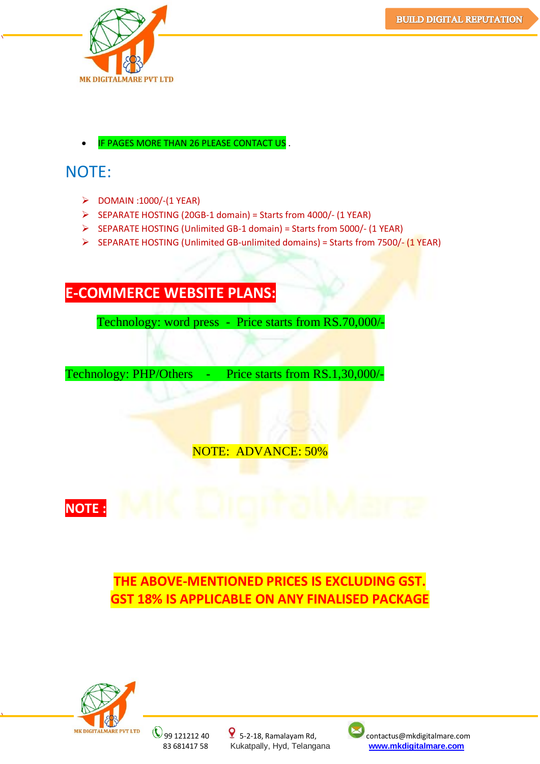

IF PAGES MORE THAN 26 PLEASE CONTACT US.

# NOTE:

- $\triangleright$  DOMAIN :1000/-(1 YEAR)
- SEPARATE HOSTING (20GB-1 domain) = Starts from 4000/- (1 YEAR)
- SEPARATE HOSTING (Unlimited GB-1 domain) = Starts from 5000/- (1 YEAR)
- SEPARATE HOSTING (Unlimited GB-unlimited domains) = Starts from 7500/- (1 YEAR)

## **E-COMMERCE WEBSITE PLANS:**

Technology: word press - Price starts from RS.70,000/-

Technology: PHP/Others - Price starts from RS.1,30,000/-

NOTE: ADVANCE: 50%



**THE ABOVE-MENTIONED PRICES IS EXCLUDING GST. GST 18% IS APPLICABLE ON ANY FINALISED PACKAGE**



83 681417 58 Kukatpally, Hyd, Telangana **[www.mkdigitalmare.com](http://www.mkdigitalmare.com/)**



MK DIGITALMARE PVT LTD ( 99 121212 40 9 5-2-18, Ramalayam Rd, contactus@mkdigitalmare.com